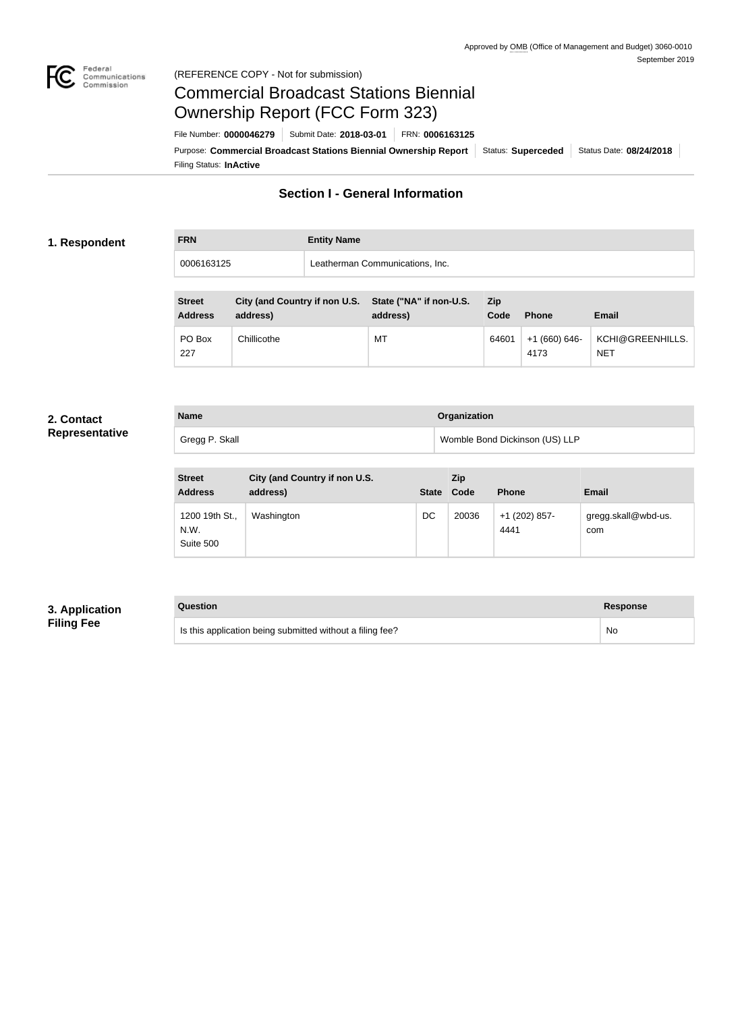

#### Federal<br>Communications<br>Commission (REFERENCE COPY - Not for submission)

# Commercial Broadcast Stations Biennial Ownership Report (FCC Form 323)

Filing Status: **InActive** Purpose: Commercial Broadcast Stations Biennial Ownership Report Status: Superceded Status Date: 08/24/2018 File Number: **0000046279** Submit Date: **2018-03-01** FRN: **0006163125**

### **Section I - General Information**

#### **1. Respondent**

**FRN Entity Name** 0006163125 Leatherman Communications, Inc.

| <b>Street</b><br><b>Address</b> | City (and Country if non U.S. State ("NA" if non-U.S.<br>address) | address) | Zip<br>Code | <b>Phone</b>          | <b>Email</b>                   |
|---------------------------------|-------------------------------------------------------------------|----------|-------------|-----------------------|--------------------------------|
| PO Box<br>227                   | Chillicothe                                                       | MT       | 64601       | +1 (660) 646-<br>4173 | KCHI@GREENHILLS.<br><b>NET</b> |

#### **2. Contact Representative**

| <b>Name</b>    | <b>Organization</b>            |
|----------------|--------------------------------|
| Gregg P. Skall | Womble Bond Dickinson (US) LLP |

| <b>Street</b><br><b>Address</b>     | City (and Country if non U.S.<br>address) | <b>State</b> | Zip<br>Code | <b>Phone</b>          | <b>Email</b>               |
|-------------------------------------|-------------------------------------------|--------------|-------------|-----------------------|----------------------------|
| 1200 19th St.,<br>N.W.<br>Suite 500 | Washington                                | DC           | 20036       | +1 (202) 857-<br>4441 | gregg.skall@wbd-us.<br>com |

### **3. Application Filing Fee**

#### **Question Response**

Is this application being submitted without a filing fee? No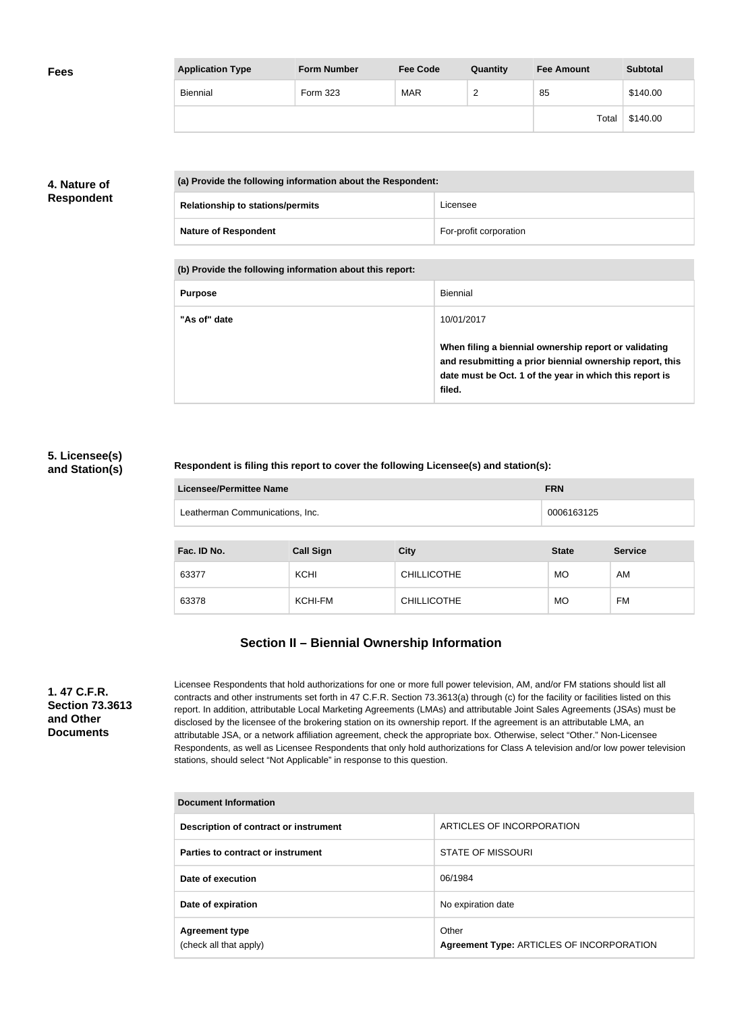| <b>Fees</b> | <b>Application Type</b> | <b>Form Number</b> | <b>Fee Code</b> | Quantity      | <b>Fee Amount</b> | <b>Subtotal</b> |
|-------------|-------------------------|--------------------|-----------------|---------------|-------------------|-----------------|
|             | Biennial                | Form 323           | <b>MAR</b>      | ີ<br><u>_</u> | 85                | \$140.00        |
|             |                         |                    |                 |               | Total             | \$140.00        |

### **4. Nature of Respondent**

| (a) Provide the following information about the Respondent: |                        |
|-------------------------------------------------------------|------------------------|
| <b>Relationship to stations/permits</b>                     | Licensee               |
| <b>Nature of Respondent</b>                                 | For-profit corporation |

**(b) Provide the following information about this report:**

| <b>Purpose</b> | Biennial                                                                                                                                                                               |
|----------------|----------------------------------------------------------------------------------------------------------------------------------------------------------------------------------------|
| "As of" date   | 10/01/2017                                                                                                                                                                             |
|                | When filing a biennial ownership report or validating<br>and resubmitting a prior biennial ownership report, this<br>date must be Oct. 1 of the year in which this report is<br>filed. |

#### **5. Licensee(s) and Station(s)**

#### **Respondent is filing this report to cover the following Licensee(s) and station(s):**

| Licensee/Permittee Name         | <b>FRN</b> |
|---------------------------------|------------|
| Leatherman Communications, Inc. | 0006163125 |

| Fac. ID No. | <b>Call Sign</b> | <b>City</b>        | <b>State</b> | <b>Service</b> |
|-------------|------------------|--------------------|--------------|----------------|
| 63377       | <b>KCHI</b>      | <b>CHILLICOTHE</b> | <b>MO</b>    | AM             |
| 63378       | KCHI-FM          | <b>CHILLICOTHE</b> | <b>MO</b>    | <b>FM</b>      |

## **Section II – Biennial Ownership Information**

**1. 47 C.F.R. Section 73.3613 and Other Documents**

Licensee Respondents that hold authorizations for one or more full power television, AM, and/or FM stations should list all contracts and other instruments set forth in 47 C.F.R. Section 73.3613(a) through (c) for the facility or facilities listed on this report. In addition, attributable Local Marketing Agreements (LMAs) and attributable Joint Sales Agreements (JSAs) must be disclosed by the licensee of the brokering station on its ownership report. If the agreement is an attributable LMA, an attributable JSA, or a network affiliation agreement, check the appropriate box. Otherwise, select "Other." Non-Licensee Respondents, as well as Licensee Respondents that only hold authorizations for Class A television and/or low power television stations, should select "Not Applicable" in response to this question.

| Document Information                            |                                                    |  |
|-------------------------------------------------|----------------------------------------------------|--|
| Description of contract or instrument           | ARTICLES OF INCORPORATION                          |  |
| Parties to contract or instrument               | <b>STATE OF MISSOURI</b>                           |  |
| Date of execution                               | 06/1984                                            |  |
| Date of expiration                              | No expiration date                                 |  |
| <b>Agreement type</b><br>(check all that apply) | Other<br>Agreement Type: ARTICLES OF INCORPORATION |  |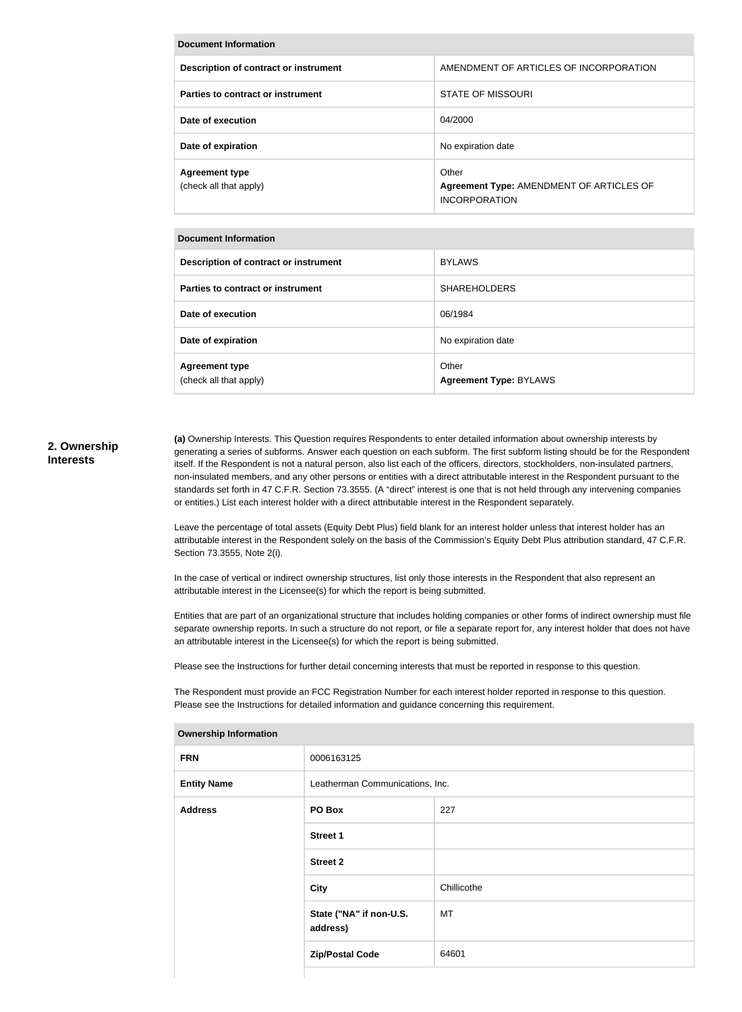| <b>Document Information</b>                     |                                                                           |  |
|-------------------------------------------------|---------------------------------------------------------------------------|--|
| Description of contract or instrument           | AMENDMENT OF ARTICLES OF INCORPORATION                                    |  |
| Parties to contract or instrument               | <b>STATE OF MISSOURI</b>                                                  |  |
| Date of execution                               | 04/2000                                                                   |  |
| Date of expiration                              | No expiration date                                                        |  |
| <b>Agreement type</b><br>(check all that apply) | Other<br>Agreement Type: AMENDMENT OF ARTICLES OF<br><b>INCORPORATION</b> |  |

#### **Document Information**

| Description of contract or instrument           | <b>BYLAWS</b>                          |
|-------------------------------------------------|----------------------------------------|
| Parties to contract or instrument               | <b>SHAREHOLDERS</b>                    |
| Date of execution                               | 06/1984                                |
| Date of expiration                              | No expiration date                     |
| <b>Agreement type</b><br>(check all that apply) | Other<br><b>Agreement Type: BYLAWS</b> |

#### **2. Ownership Interests**

**(a)** Ownership Interests. This Question requires Respondents to enter detailed information about ownership interests by generating a series of subforms. Answer each question on each subform. The first subform listing should be for the Respondent itself. If the Respondent is not a natural person, also list each of the officers, directors, stockholders, non-insulated partners, non-insulated members, and any other persons or entities with a direct attributable interest in the Respondent pursuant to the standards set forth in 47 C.F.R. Section 73.3555. (A "direct" interest is one that is not held through any intervening companies or entities.) List each interest holder with a direct attributable interest in the Respondent separately.

Leave the percentage of total assets (Equity Debt Plus) field blank for an interest holder unless that interest holder has an attributable interest in the Respondent solely on the basis of the Commission's Equity Debt Plus attribution standard, 47 C.F.R. Section 73.3555, Note 2(i).

In the case of vertical or indirect ownership structures, list only those interests in the Respondent that also represent an attributable interest in the Licensee(s) for which the report is being submitted.

Entities that are part of an organizational structure that includes holding companies or other forms of indirect ownership must file separate ownership reports. In such a structure do not report, or file a separate report for, any interest holder that does not have an attributable interest in the Licensee(s) for which the report is being submitted.

Please see the Instructions for further detail concerning interests that must be reported in response to this question.

The Respondent must provide an FCC Registration Number for each interest holder reported in response to this question. Please see the Instructions for detailed information and guidance concerning this requirement.

| ,,,,,,,,,,,,,,,,,,,,,,,,,,,,, |                                     |             |
|-------------------------------|-------------------------------------|-------------|
| <b>FRN</b>                    | 0006163125                          |             |
| <b>Entity Name</b>            | Leatherman Communications, Inc.     |             |
| <b>Address</b>                | PO Box                              | 227         |
|                               | <b>Street 1</b>                     |             |
|                               | <b>Street 2</b>                     |             |
|                               | City                                | Chillicothe |
|                               | State ("NA" if non-U.S.<br>address) | MT          |
|                               | <b>Zip/Postal Code</b>              | 64601       |
|                               |                                     |             |

**Ownership Information**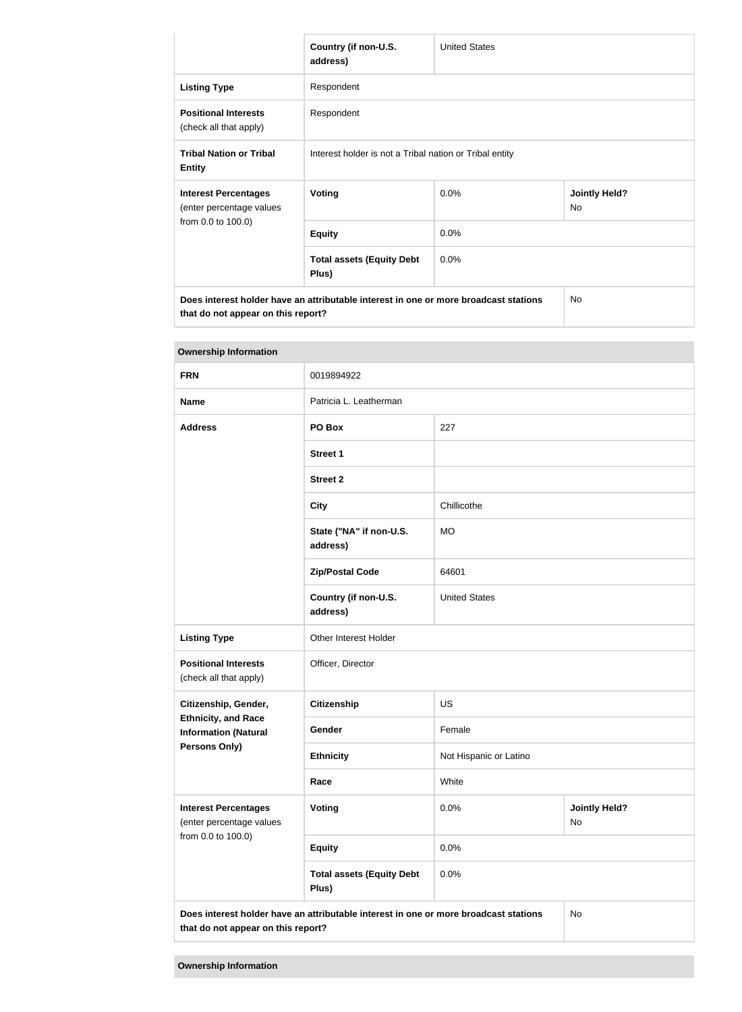|                                                                                      | Country (if non-U.S.<br>address)                        | <b>United States</b> |                            |
|--------------------------------------------------------------------------------------|---------------------------------------------------------|----------------------|----------------------------|
| <b>Listing Type</b>                                                                  | Respondent                                              |                      |                            |
| <b>Positional Interests</b><br>(check all that apply)                                | Respondent                                              |                      |                            |
| <b>Tribal Nation or Tribal</b><br><b>Entity</b>                                      | Interest holder is not a Tribal nation or Tribal entity |                      |                            |
| <b>Interest Percentages</b><br>(enter percentage values<br>from 0.0 to 100.0)        | <b>Voting</b>                                           | 0.0%                 | <b>Jointly Held?</b><br>No |
|                                                                                      | <b>Equity</b>                                           | 0.0%                 |                            |
|                                                                                      | <b>Total assets (Equity Debt</b><br>Plus)               | 0.0%                 |                            |
| Does interest holder have an attributable interest in one or more broadcast stations |                                                         | <b>No</b>            |                            |

**that do not appear on this report?**

| <b>Ownership Information</b>                                                                                                     |                                           |                        |                            |  |
|----------------------------------------------------------------------------------------------------------------------------------|-------------------------------------------|------------------------|----------------------------|--|
| <b>FRN</b>                                                                                                                       | 0019894922                                |                        |                            |  |
| <b>Name</b>                                                                                                                      | Patricia L. Leatherman                    |                        |                            |  |
| <b>Address</b>                                                                                                                   | PO Box                                    | 227                    |                            |  |
|                                                                                                                                  | <b>Street 1</b>                           |                        |                            |  |
|                                                                                                                                  | <b>Street 2</b>                           |                        |                            |  |
|                                                                                                                                  | <b>City</b>                               | Chillicothe            |                            |  |
|                                                                                                                                  | State ("NA" if non-U.S.<br>address)       | <b>MO</b>              |                            |  |
|                                                                                                                                  | <b>Zip/Postal Code</b>                    | 64601                  |                            |  |
|                                                                                                                                  | Country (if non-U.S.<br>address)          | <b>United States</b>   |                            |  |
| <b>Listing Type</b>                                                                                                              | Other Interest Holder                     |                        |                            |  |
| <b>Positional Interests</b><br>(check all that apply)                                                                            | Officer, Director                         |                        |                            |  |
| Citizenship, Gender,                                                                                                             | <b>Citizenship</b>                        | <b>US</b>              |                            |  |
| <b>Ethnicity, and Race</b><br><b>Information (Natural</b>                                                                        | Gender                                    | Female                 |                            |  |
| <b>Persons Only)</b>                                                                                                             | <b>Ethnicity</b>                          | Not Hispanic or Latino |                            |  |
|                                                                                                                                  | Race                                      | White                  |                            |  |
| <b>Interest Percentages</b><br>(enter percentage values                                                                          | Voting                                    | 0.0%                   | <b>Jointly Held?</b><br>No |  |
| from 0.0 to 100.0)                                                                                                               | <b>Equity</b>                             | 0.0%                   |                            |  |
|                                                                                                                                  | <b>Total assets (Equity Debt</b><br>Plus) | 0.0%                   |                            |  |
| Does interest holder have an attributable interest in one or more broadcast stations<br>No<br>that do not appear on this report? |                                           |                        |                            |  |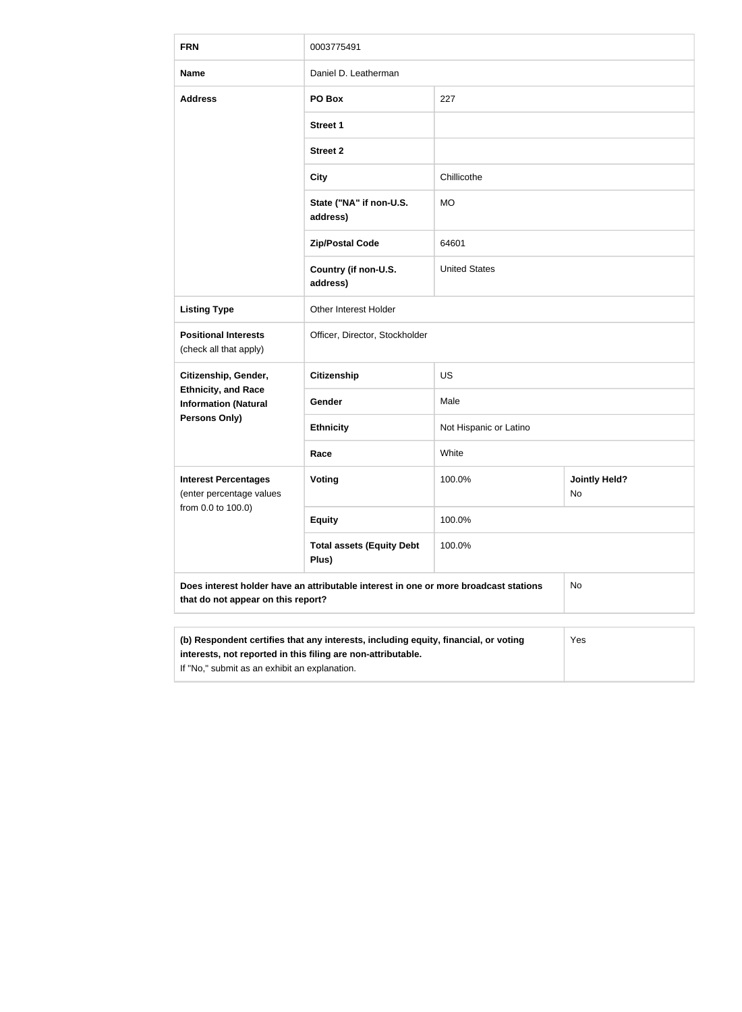| <b>FRN</b>                                                                                                                                                                                                  | 0003775491                                |                        |                            |  |
|-------------------------------------------------------------------------------------------------------------------------------------------------------------------------------------------------------------|-------------------------------------------|------------------------|----------------------------|--|
| <b>Name</b>                                                                                                                                                                                                 | Daniel D. Leatherman                      |                        |                            |  |
| <b>Address</b>                                                                                                                                                                                              | PO Box                                    | 227                    |                            |  |
|                                                                                                                                                                                                             | <b>Street 1</b>                           |                        |                            |  |
|                                                                                                                                                                                                             | <b>Street 2</b>                           |                        |                            |  |
|                                                                                                                                                                                                             | <b>City</b>                               | Chillicothe            |                            |  |
|                                                                                                                                                                                                             | State ("NA" if non-U.S.<br>address)       | <b>MO</b>              |                            |  |
|                                                                                                                                                                                                             | <b>Zip/Postal Code</b>                    | 64601                  |                            |  |
|                                                                                                                                                                                                             | Country (if non-U.S.<br>address)          | <b>United States</b>   |                            |  |
| <b>Listing Type</b>                                                                                                                                                                                         | Other Interest Holder                     |                        |                            |  |
| <b>Positional Interests</b><br>(check all that apply)                                                                                                                                                       | Officer, Director, Stockholder            |                        |                            |  |
| Citizenship, Gender,                                                                                                                                                                                        | <b>Citizenship</b>                        | <b>US</b>              |                            |  |
| <b>Ethnicity, and Race</b><br><b>Information (Natural</b>                                                                                                                                                   | Gender                                    | Male                   |                            |  |
| Persons Only)                                                                                                                                                                                               | <b>Ethnicity</b>                          | Not Hispanic or Latino |                            |  |
|                                                                                                                                                                                                             | Race                                      | White                  |                            |  |
| <b>Interest Percentages</b><br>(enter percentage values<br>from 0.0 to 100.0)                                                                                                                               | <b>Voting</b>                             | 100.0%                 | <b>Jointly Held?</b><br>No |  |
|                                                                                                                                                                                                             | <b>Equity</b>                             | 100.0%                 |                            |  |
|                                                                                                                                                                                                             | <b>Total assets (Equity Debt</b><br>Plus) | 100.0%                 |                            |  |
| Does interest holder have an attributable interest in one or more broadcast stations<br>No<br>that do not appear on this report?                                                                            |                                           |                        |                            |  |
|                                                                                                                                                                                                             |                                           |                        |                            |  |
| (b) Respondent certifies that any interests, including equity, financial, or voting<br>Yes<br>interests, not reported in this filing are non-attributable.<br>If "No," submit as an exhibit an explanation. |                                           |                        |                            |  |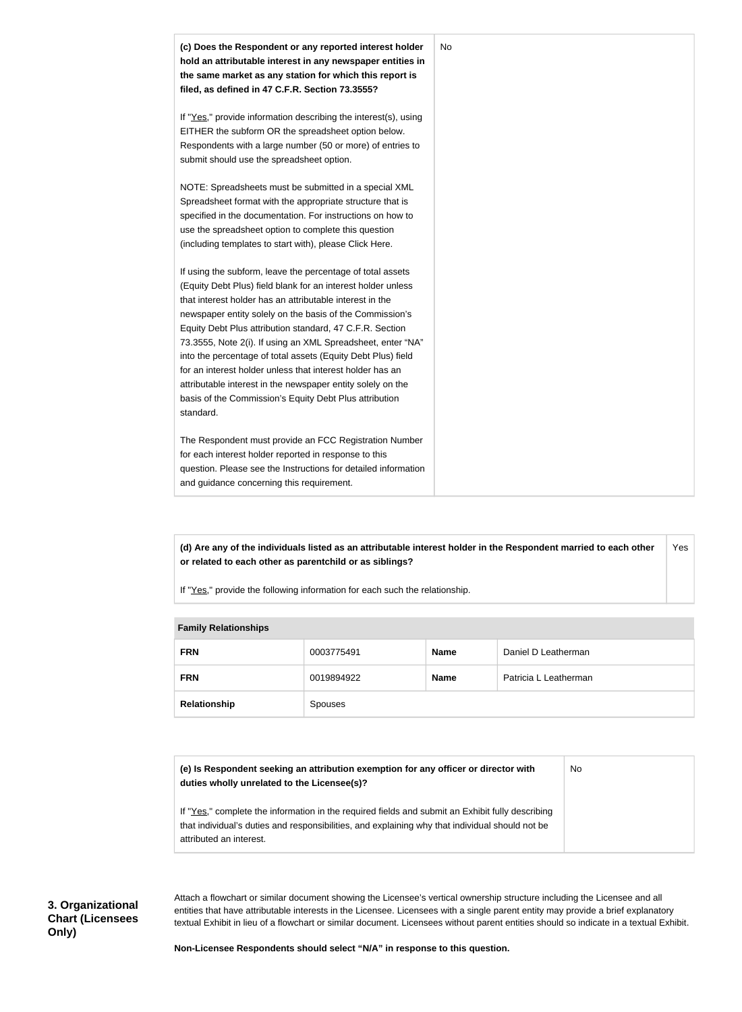

**(d) Are any of the individuals listed as an attributable interest holder in the Respondent married to each other or related to each other as parentchild or as siblings?** Yes

If "Yes," provide the following information for each such the relationship.

| <b>Fallilly INGIQUUISHIPS</b> |            |             |                       |
|-------------------------------|------------|-------------|-----------------------|
| <b>FRN</b>                    | 0003775491 | <b>Name</b> | Daniel D Leatherman   |
| <b>FRN</b>                    | 0019894922 | <b>Name</b> | Patricia L Leatherman |
| Relationship                  | Spouses    |             |                       |

#### **Family Relationships**

| (e) Is Respondent seeking an attribution exemption for any officer or director with | No |
|-------------------------------------------------------------------------------------|----|
| duties wholly unrelated to the Licensee(s)?                                         |    |

If "Yes," complete the information in the required fields and submit an Exhibit fully describing that individual's duties and responsibilities, and explaining why that individual should not be attributed an interest.

Attach a flowchart or similar document showing the Licensee's vertical ownership structure including the Licensee and all entities that have attributable interests in the Licensee. Licensees with a single parent entity may provide a brief explanatory textual Exhibit in lieu of a flowchart or similar document. Licensees without parent entities should so indicate in a textual Exhibit.

**Non-Licensee Respondents should select "N/A" in response to this question.**